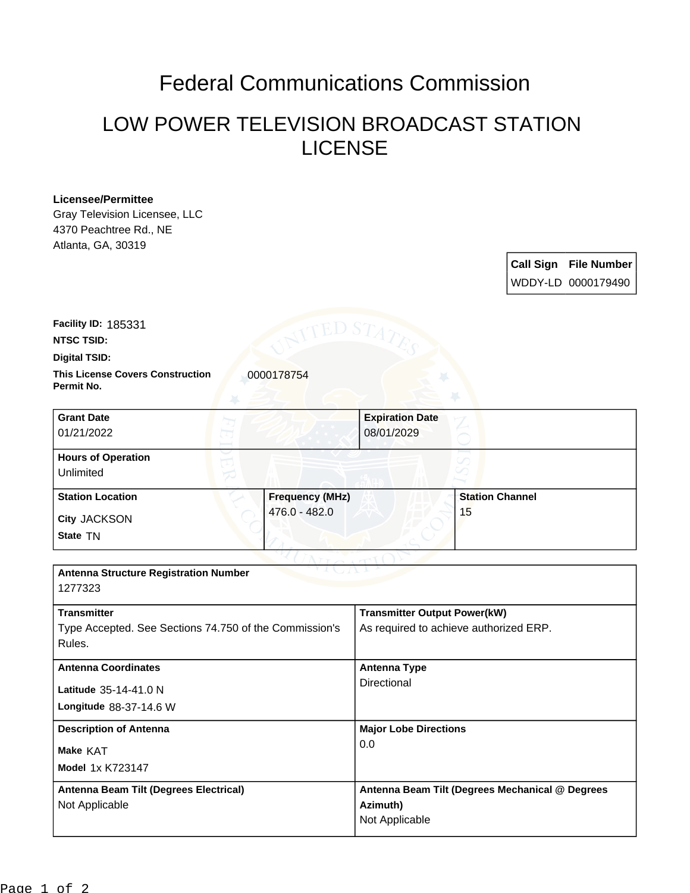## Federal Communications Commission

## LOW POWER TELEVISION BROADCAST STATION LICENSE

## **Licensee/Permittee**

Gray Television Licensee, LLC 4370 Peachtree Rd., NE Atlanta, GA, 30319

> **Call Sign File Number** WDDY-LD 0000179490

**Facility ID:** 185331

**NTSC TSID:**

**Digital TSID:**

**This License Covers Construction**  0000178754 **Permit No.**

| <b>Grant Date</b><br>01/21/2022        |                        | <b>Expiration Date</b><br>08/01/2029 |                        |  |
|----------------------------------------|------------------------|--------------------------------------|------------------------|--|
| <b>Hours of Operation</b><br>Unlimited |                        |                                      |                        |  |
| <b>Station Location</b>                | <b>Frequency (MHz)</b> |                                      | <b>Station Channel</b> |  |
| City JACKSON<br>State TN               | 476.0 - 482.0          |                                      | 15                     |  |

| <b>Antenna Structure Registration Number</b><br>1277323 |                                                 |  |
|---------------------------------------------------------|-------------------------------------------------|--|
| <b>Transmitter</b>                                      |                                                 |  |
|                                                         | <b>Transmitter Output Power(kW)</b>             |  |
| Type Accepted. See Sections 74.750 of the Commission's  | As required to achieve authorized ERP.          |  |
| Rules.                                                  |                                                 |  |
| <b>Antenna Coordinates</b>                              | <b>Antenna Type</b><br>Directional              |  |
| Latitude 35-14-41.0 N                                   |                                                 |  |
| Longitude 88-37-14.6 W                                  |                                                 |  |
| <b>Description of Antenna</b>                           | <b>Major Lobe Directions</b>                    |  |
| Make KAT                                                | 0.0                                             |  |
| <b>Model 1x K723147</b>                                 |                                                 |  |
| Antenna Beam Tilt (Degrees Electrical)                  | Antenna Beam Tilt (Degrees Mechanical @ Degrees |  |
| Not Applicable                                          | Azimuth)                                        |  |
|                                                         | Not Applicable                                  |  |